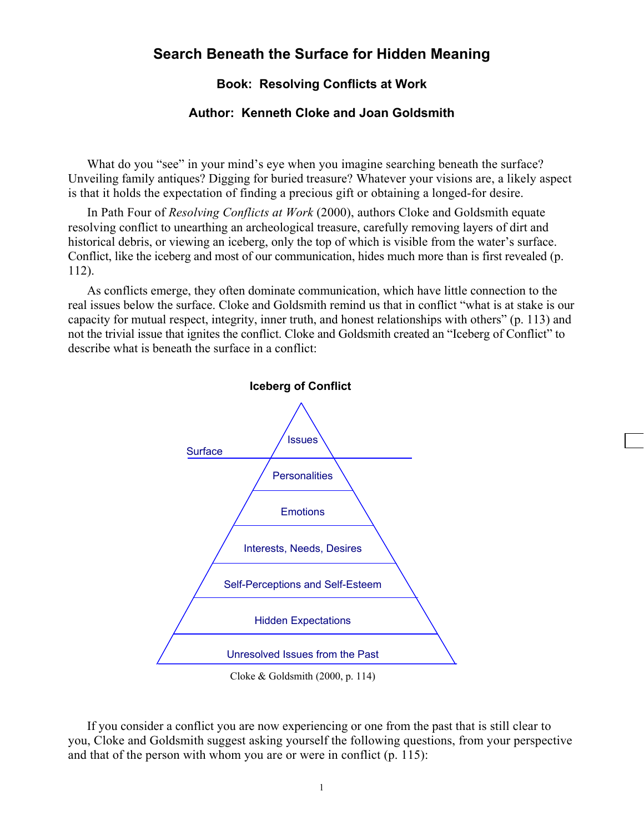## **Search Beneath the Surface for Hidden Meaning**

## **Book: Resolving Conflicts at Work**

## **Author: Kenneth Cloke and Joan Goldsmith**

What do you "see" in your mind's eye when you imagine searching beneath the surface? Unveiling family antiques? Digging for buried treasure? Whatever your visions are, a likely aspect is that it holds the expectation of finding a precious gift or obtaining a longed-for desire.

 In Path Four of *Resolving Conflicts at Work* (2000), authors Cloke and Goldsmith equate resolving conflict to unearthing an archeological treasure, carefully removing layers of dirt and historical debris, or viewing an iceberg, only the top of which is visible from the water's surface. Conflict, like the iceberg and most of our communication, hides much more than is first revealed (p. 112).

 As conflicts emerge, they often dominate communication, which have little connection to the real issues below the surface. Cloke and Goldsmith remind us that in conflict "what is at stake is our capacity for mutual respect, integrity, inner truth, and honest relationships with others" (p. 113) and not the trivial issue that ignites the conflict. Cloke and Goldsmith created an "Iceberg of Conflict" to describe what is beneath the surface in a conflict:



## Cloke & Goldsmith (2000, p. 114)

 If you consider a conflict you are now experiencing or one from the past that is still clear to you, Cloke and Goldsmith suggest asking yourself the following questions, from your perspective and that of the person with whom you are or were in conflict (p. 115):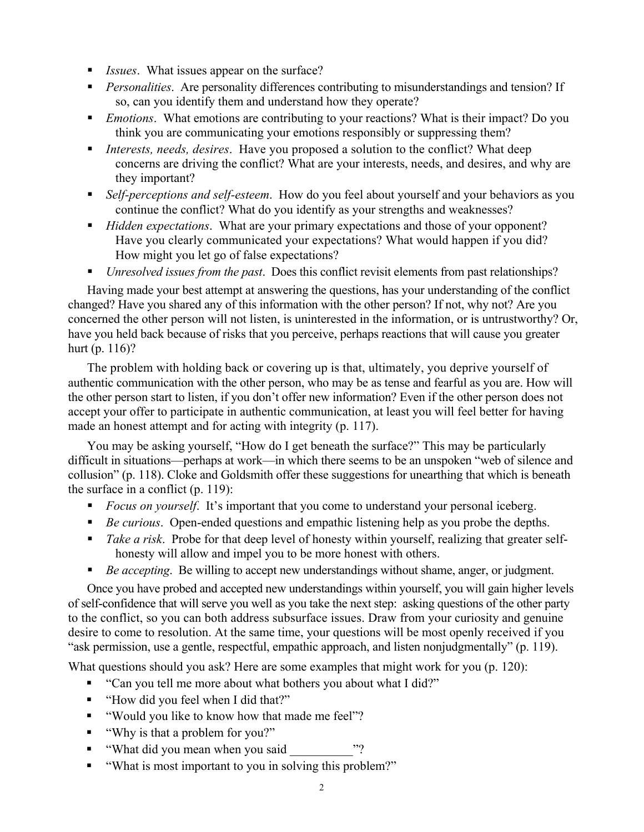- *Issues*. What issues appear on the surface?
- **Personalities.** Are personality differences contributing to misunderstandings and tension? If so, can you identify them and understand how they operate?
- *Emotions*. What emotions are contributing to your reactions? What is their impact? Do you think you are communicating your emotions responsibly or suppressing them?
- *Interests, needs, desires*. Have you proposed a solution to the conflict? What deep concerns are driving the conflict? What are your interests, needs, and desires, and why are they important?
- *Self-perceptions and self-esteem*. How do you feel about yourself and your behaviors as you continue the conflict? What do you identify as your strengths and weaknesses?
- *Hidden expectations*. What are your primary expectations and those of your opponent? Have you clearly communicated your expectations? What would happen if you did? How might you let go of false expectations?
- *Unresolved issues from the past*. Does this conflict revisit elements from past relationships?

 Having made your best attempt at answering the questions, has your understanding of the conflict changed? Have you shared any of this information with the other person? If not, why not? Are you concerned the other person will not listen, is uninterested in the information, or is untrustworthy? Or, have you held back because of risks that you perceive, perhaps reactions that will cause you greater hurt (p. 116)?

 The problem with holding back or covering up is that, ultimately, you deprive yourself of authentic communication with the other person, who may be as tense and fearful as you are. How will the other person start to listen, if you don't offer new information? Even if the other person does not accept your offer to participate in authentic communication, at least you will feel better for having made an honest attempt and for acting with integrity (p. 117).

 You may be asking yourself, "How do I get beneath the surface?" This may be particularly difficult in situations—perhaps at work—in which there seems to be an unspoken "web of silence and collusion" (p. 118). Cloke and Goldsmith offer these suggestions for unearthing that which is beneath the surface in a conflict (p. 119):

- **Focus on yourself.** It's important that you come to understand your personal iceberg.
- *Be curious*. Open-ended questions and empathic listening help as you probe the depths.
- *Take a risk*. Probe for that deep level of honesty within yourself, realizing that greater selfhonesty will allow and impel you to be more honest with others.
- *Be accepting*. Be willing to accept new understandings without shame, anger, or judgment.

 Once you have probed and accepted new understandings within yourself, you will gain higher levels of self-confidence that will serve you well as you take the next step: asking questions of the other party to the conflict, so you can both address subsurface issues. Draw from your curiosity and genuine desire to come to resolution. At the same time, your questions will be most openly received if you "ask permission, use a gentle, respectful, empathic approach, and listen nonjudgmentally" (p. 119).

What questions should you ask? Here are some examples that might work for you (p. 120):

- "Can you tell me more about what bothers you about what I did?"
- "How did you feel when I did that?"
- "Would you like to know how that made me feel"?
- "Why is that a problem for you?"
- "What did you mean when you said
- "What is most important to you in solving this problem?"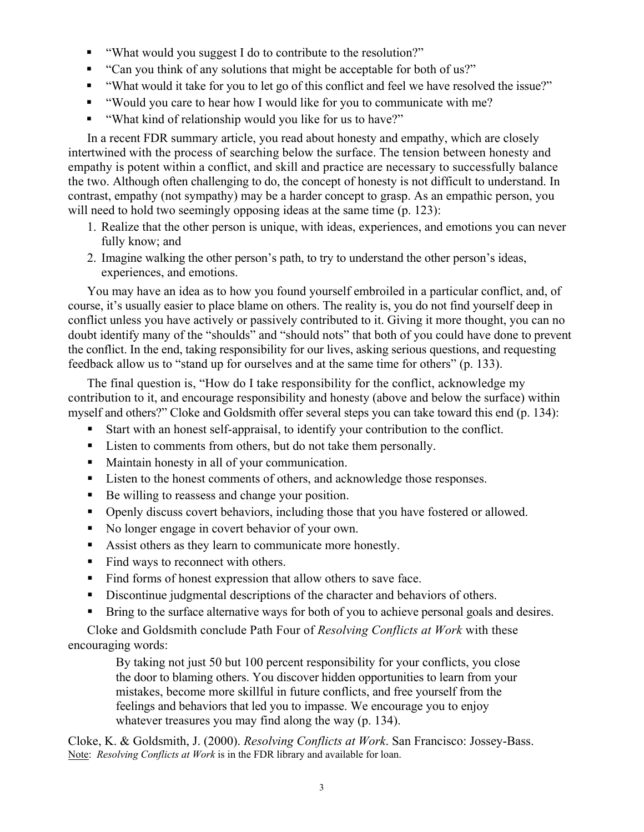- "What would you suggest I do to contribute to the resolution?"
- "Can you think of any solutions that might be acceptable for both of us?"
- "What would it take for you to let go of this conflict and feel we have resolved the issue?"
- "Would you care to hear how I would like for you to communicate with me?
- "What kind of relationship would you like for us to have?"

 In a recent FDR summary article, you read about honesty and empathy, which are closely intertwined with the process of searching below the surface. The tension between honesty and empathy is potent within a conflict, and skill and practice are necessary to successfully balance the two. Although often challenging to do, the concept of honesty is not difficult to understand. In contrast, empathy (not sympathy) may be a harder concept to grasp. As an empathic person, you will need to hold two seemingly opposing ideas at the same time (p. 123):

- 1. Realize that the other person is unique, with ideas, experiences, and emotions you can never fully know; and
- 2. Imagine walking the other person's path, to try to understand the other person's ideas, experiences, and emotions.

 You may have an idea as to how you found yourself embroiled in a particular conflict, and, of course, it's usually easier to place blame on others. The reality is, you do not find yourself deep in conflict unless you have actively or passively contributed to it. Giving it more thought, you can no doubt identify many of the "shoulds" and "should nots" that both of you could have done to prevent the conflict. In the end, taking responsibility for our lives, asking serious questions, and requesting feedback allow us to "stand up for ourselves and at the same time for others" (p. 133).

 The final question is, "How do I take responsibility for the conflict, acknowledge my contribution to it, and encourage responsibility and honesty (above and below the surface) within myself and others?" Cloke and Goldsmith offer several steps you can take toward this end (p. 134):

- Start with an honest self-appraisal, to identify your contribution to the conflict.
- Listen to comments from others, but do not take them personally.
- Maintain honesty in all of your communication.
- Listen to the honest comments of others, and acknowledge those responses.
- Be willing to reassess and change your position.
- Openly discuss covert behaviors, including those that you have fostered or allowed.
- No longer engage in covert behavior of your own.
- Assist others as they learn to communicate more honestly.
- Find ways to reconnect with others.
- Find forms of honest expression that allow others to save face.
- Discontinue judgmental descriptions of the character and behaviors of others.
- **Bring to the surface alternative ways for both of you to achieve personal goals and desires.**

 Cloke and Goldsmith conclude Path Four of *Resolving Conflicts at Work* with these encouraging words:

> By taking not just 50 but 100 percent responsibility for your conflicts, you close the door to blaming others. You discover hidden opportunities to learn from your mistakes, become more skillful in future conflicts, and free yourself from the feelings and behaviors that led you to impasse. We encourage you to enjoy whatever treasures you may find along the way (p. 134).

Cloke, K. & Goldsmith, J. (2000). *Resolving Conflicts at Work*. San Francisco: Jossey-Bass. Note: *Resolving Conflicts at Work* is in the FDR library and available for loan.